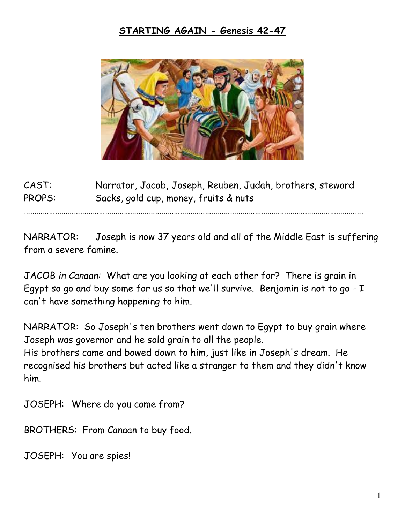## **STARTING AGAIN - Genesis 42-47**



CAST: Narrator, Jacob, Joseph, Reuben, Judah, brothers, steward PROPS: Sacks, gold cup, money, fruits & nuts

……………………………………………………………………………………………………………………………………………….

NARRATOR: Joseph is now 37 years old and all of the Middle East is suffering from a severe famine.

JACOB *in Canaan:* What are you looking at each other for? There is grain in Egypt so go and buy some for us so that we'll survive. Benjamin is not to go - I can't have something happening to him.

NARRATOR: So Joseph's ten brothers went down to Egypt to buy grain where Joseph was governor and he sold grain to all the people. His brothers came and bowed down to him, just like in Joseph's dream. He recognised his brothers but acted like a stranger to them and they didn't know him.

JOSEPH: Where do you come from?

BROTHERS: From Canaan to buy food.

JOSEPH: You are spies!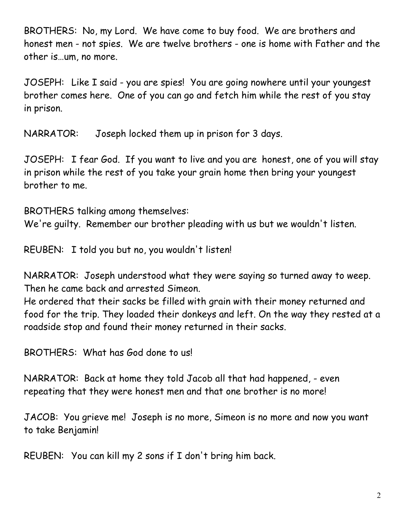BROTHERS: No, my Lord. We have come to buy food. We are brothers and honest men - not spies. We are twelve brothers - one is home with Father and the other is…um, no more.

JOSEPH: Like I said - you are spies! You are going nowhere until your youngest brother comes here. One of you can go and fetch him while the rest of you stay in prison.

NARRATOR: Joseph locked them up in prison for 3 days.

JOSEPH: I fear God. If you want to live and you are honest, one of you will stay in prison while the rest of you take your grain home then bring your youngest brother to me.

BROTHERS talking among themselves:

We're guilty. Remember our brother pleading with us but we wouldn't listen.

REUBEN: I told you but no, you wouldn't listen!

NARRATOR: Joseph understood what they were saying so turned away to weep. Then he came back and arrested Simeon.

He ordered that their sacks be filled with grain with their money returned and food for the trip. They loaded their donkeys and left. On the way they rested at a roadside stop and found their money returned in their sacks.

BROTHERS: What has God done to us!

NARRATOR: Back at home they told Jacob all that had happened, - even repeating that they were honest men and that one brother is no more!

JACOB: You grieve me! Joseph is no more, Simeon is no more and now you want to take Benjamin!

REUBEN: You can kill my 2 sons if I don't bring him back.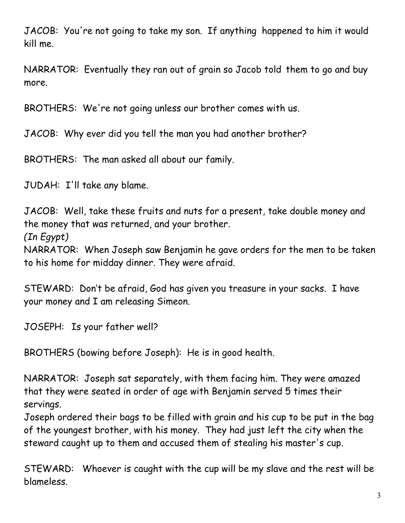JACOB: You're not going to take my son. If anything happened to him it would kill me.

NARRATOR: Eventually they ran out of grain so Jacob told them to go and buy more.

BROTHERS: We're not going unless our brother comes with us.

JACOB: Why ever did you tell the man you had another brother?

BROTHERS: The man asked all about our family.

JUDAH: I'll take any blame.

JACOB: Well, take these fruits and nuts for a present, take double money and the money that was returned, and your brother. *(In Egypt)*

NARRATOR: When Joseph saw Benjamin he gave orders for the men to be taken to his home for midday dinner. They were afraid.

STEWARD: Don't be afraid, God has given you treasure in your sacks. I have your money and I am releasing Simeon.

JOSEPH: Is your father well?

BROTHERS (bowing before Joseph): He is in good health.

NARRATOR: Joseph sat separately, with them facing him. They were amazed that they were seated in order of age with Benjamin served 5 times their servings.

Joseph ordered their bags to be filled with grain and his cup to be put in the bag of the youngest brother, with his money. They had just left the city when the steward caught up to them and accused them of stealing his master's cup.

STEWARD: Whoever is caught with the cup will be my slave and the rest will be blameless.